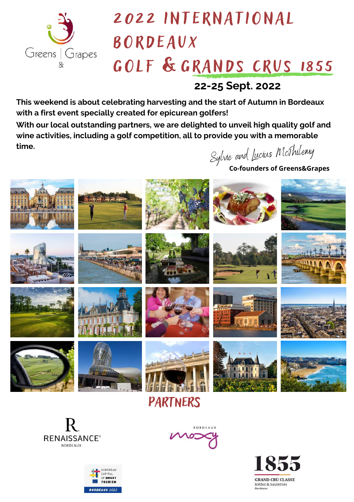

# 2022 INTERNATIONAL B O RDEAUX GOLF & GRANDS CRUS 1855

**22-25 Sept. 2022**

**This weekend is about celebrating harvesting and the start of Autumn in Bordeaux with a first event specially created for epicurean golfers!**

**With our local outstanding partners, we are delighted to unveil high quality golf and wine activities, including a golf competition, all to provide you with a memorable time.**

Sylvie and Lucius McPhilemy

**Co-founders of Greens&Grapes**







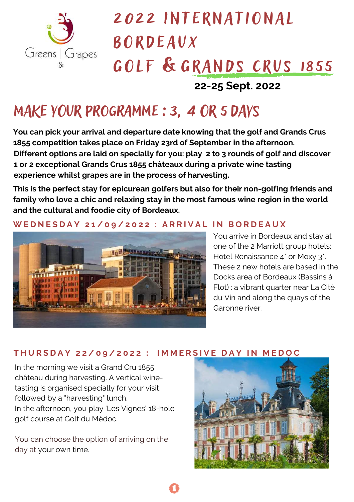

# 2022 INTERNATIONAL B O RDEAUX GOLF & GRANDS CRUS 1855

## **22-25 Sept. 2022**

## MAKE YOUR programme :3, 4 OR 5DAYS

**You can pick your arrival and departure date knowing that the golf and Grands Crus 1855 competition takes place on Friday 23rd of September in the afternoon. Different options are laid on specially for you: play 2 to 3 rounds of golf and discover 1 or 2 exceptional Grands Crus 1855 châteaux during a private wine tasting experience whilst grapes are in the process of harvesting.**

**This is the perfect stay for epicurean golfers but also for their non-golfing friends and family who love a chic and relaxing stay in the most famous wine region in the world and the cultural and foodie city of Bordeaux.**

### WEDNESDAY 21/09/2022 : ARRIVAL IN BORDEAUX



You arrive in Bordeaux and stay at one of the 2 Marriott group hotels: Hotel Renaissance 4\* or Moxy 3\*. These 2 new hotels are based in the Docks area of Bordeaux (Bassins à Flot) : a vibrant quarter near La Cité du Vin and along the quays of the Garonne river.

### THURSDAY 22/09/2022 : IMMERSIVE DAY IN MEDOC

In the morning we visit a Grand Cru 1855 château during harvesting. A vertical winetasting is organised specially for your visit, followed by a "harvesting" lunch. In the afternoon, you play 'Les Vignes' 18-hole golf course at Golf du Médoc.

You can choose the option of arriving on the day at your own time.

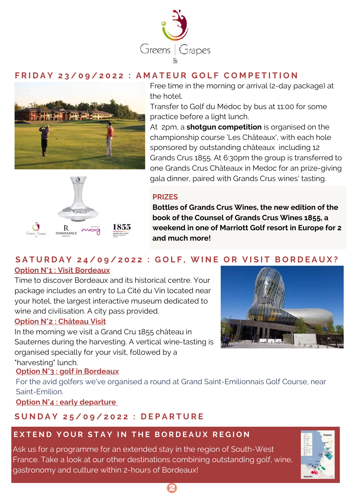

### FRIDAY 23/09/2022 : AMATEUR GOLF COMPETITION



Free time in the morning or arrival (2-day package) at the hotel.

Transfer to Golf du Médoc by bus at 11:00 for some practice before a light lunch.

At 2pm, a **shotgun competition** is organised on the championship course 'Les Châteaux', with each hole sponsored by outstanding châteaux including 12 Grands Crus 1855. At 6:30pm the group is transferred to one Grands Crus Châteaux in Medoc for an prize-giving gala dinner, paired with Grands Crus wines' tasting.

#### **PRIZES**



**Bottles of Grands Crus Wines, the new edition of the book of the Counsel of Grands Crus Wines 1855, a weekend in one of Marriott Golf resort in Europe for 2 and much more!**

#### **<u>leaux</u>** SATURDAY 24/09/2022 : GOLF, WINE OR VISIT BORDEAUX? **Option N°1 : Visit Bordeaux**

Time to discover Bordeaux and its historical centre. Your package includes an entry to La Cité du Vin located near your hotel, the largest interactive museum dedicated to wine and civilisation. A city pass provided.

#### **Option N°2 : Château Visit**

In the morning we visit a Grand Cru 1855 château in Sauternes during the harvesting. A vertical wine-tasting is organised specially for your visit, followed by a "harvesting" lunch.

### **Option N°3 : golf in Bordeaux**

For the avid golfers we've organised a round at Grand Saint-Emilionnais Golf Course, near Saint-Emilion.

**Option N°4 : early departure**

### SUNDAY 25/09/2022 : DEPARTURE

### EXTEND YOUR STAY IN THE BORDEAUX REGION

Ask us for a programme for an extended stay in the region of South-West France. Take a look at our other destinations combining outstanding golf, wine, gastronomy and culture within 2-hours of Bordeaux!



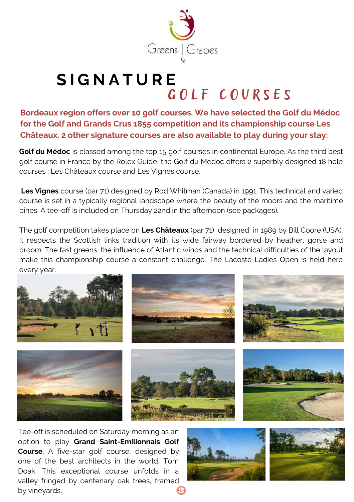

## **S I G [N](http://www.greensandgrapes.com/golf-booming-bordeaux/) A T U R E** GOLF COURSES

**Bordeaux region offers over 10 golf courses. We have selected the Golf du Médoc for the Golf and Grands Crus 1855 competition and its championship course Les Châteaux. 2 other signature courses are also available to play during your stay:**

**Golf du Médoc** is classed among the top 15 golf courses in continental Europe. As the third best golf course in France by the Rolex Guide, the Golf du Medoc offers 2 superbly designed 18 hole courses : Les Châteaux course and Les Vignes course.

**Les Vignes** course (par 71) designed by Rod Whitman (Canada) in 1991. This technical and varied course is set in a typically regional landscape where the beauty of the moors and the maritime pines. A tee-off is included on Thursday 22nd in the afternoon (see packages).

The golf competition takes place on **Les Châteaux** (par 71) designed in 1989 by Bill Coore (USA). It respects the Scottish links tradition with its wide fairway bordered by heather, gorse and broom. The fast greens, the influence of Atlantic winds and the technical difficulties of the layout make this [championship](http://www.greensandgrapes.com/golf-du-medoc/) course a constant challenge. The Lacoste Ladies Open is held here every year.



Tee-off is scheduled on Saturday morning as an option to play **Grand [Saint-Emilionnais](https://www.greensandgrapes.com/grand-saint-emilionnais-golf-2/) Golf Course**. A five-star golf course, designed by one of the best architects in the world, Tom Doak. This [exceptional](https://www.greensandgrapes.com/grand-saint-emilionnais-golf-2/) course unfolds in a valley fringed by centenary oak trees, framed by vineyards.

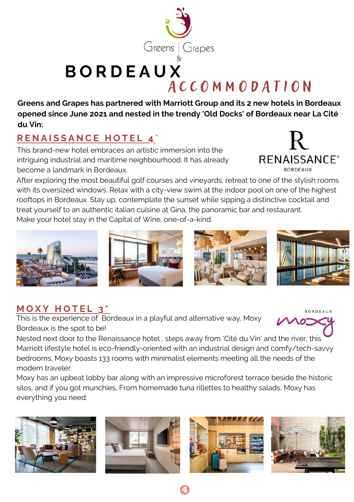

## **B O R D E A U X** A C C O M M O D A T I O N

**Greens and Grapes has partnered with Marriott Group and its 2 new hotels in Bordeaux opened since June 2021 and nested in the trendy 'Old Docks' of Bordeaux near La Cité du Vin:**

## **R E [N](https://www.marriott.com/en-us/hotels/bodbr-renaissance-bordeaux-hotel/overview/) A I S S A N C E H O T E L 4** \*

This brand-new hotel embraces an artistic immersion into the intriguing industrial and maritime neighbourhood. It has already become a landmark in Bordeaux.

**RENAISSANCE®** 

After exploring the most beautiful golf courses and vineyards, retreat to one of the stylish rooms with its oversized windows. Relax with a city-view swim at the indoor pool on one of the highest rooftops in Bordeaux. Stay up, contemplate the sunset while sipping a distinctive cocktail and treat yourself to an authentic italian cuisine at Gina, the panoramic bar and restaurant. Make your hotel stay in the Capital of Wine, one-of-a-kind.









## **[M](https://www.marriott.com/en-us/hotels/bodox-moxy-bordeaux/photos/) O X Y H O T E L 3 \***

This is the experience of Bordeaux in a playful and alternative way. Moxy Bordeaux is the spot to be!

**BORDEAUX** 

Nested next door to the Renaissance hotel , steps away from 'Cité du Vin' and the river, this Marriott lifestyle hotel is eco-friendly-oriented with an industrial design and comfy/tech-savvy bedrooms, Moxy boasts 133 rooms with minimalist elements meeting all the needs of the modern traveler.

Moxy has an upbeat lobby bar along with an impressive microforest terrace beside the historic silos, and if you got munchies, From homemade tuna rillettes to healthy salads, Moxy has everything you need.







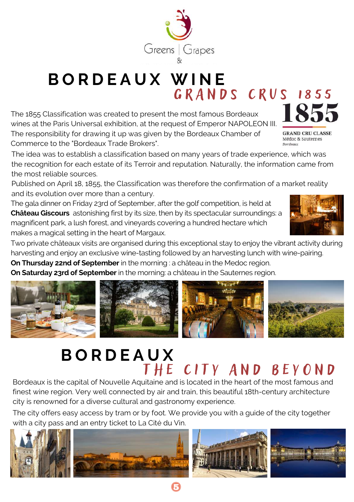

## **B O R D E A U X [W](http://www.greensandgrapes.com/golf-booming-bordeaux/) I N E** GRANDS CRUS 1855

The 1855 Classification was created to present the most famous Bordeaux wines at the Paris Universal exhibition, at the request of Emperor NAPOLEON III. The responsibility for drawing it up was given by the Bordeaux Chamber of Commerce to the "Bordeaux Trade Brokers".

The idea was to establish a classification based on many years of trade experience, which was the recognition for each estate of its Terroir and reputation. Naturally, the information came from the most reliable sources.

Published on April 18, 1855, the Classification was therefore the confirmation of a market reality and its evolution over more than a century.

The gala dinner on Friday 23rd of September, after the golf competition, is held at **Château Giscours** astonishing first by its size, then by its spectacular surroundings: a magnificent park, a lush forest, and vineyards covering a hundred hectare which makes a magical setting in the heart of Margaux.

Two private châteaux visits are organised during this exceptional stay to enjoy the vibrant activity during harvesting and enjoy an exclusive wine-tasting followed by an harvesting lunch with wine-pairing.

**On Thursday 22nd of September** in the morning : a château in the Medoc region.

**On Saturday 23rd of September** in the morning: a château in the Sauternes region.



## **B [O](http://www.greensandgrapes.com/golf-booming-bordeaux/) R D E A U X** THE CITY AND BEYOND

Bordeaux is the capital of Nouvelle Aquitaine and is located in the heart of the most famous and finest wine region. Very well connected by air and train, this beautiful 18th-century architecture city is renowned for a diverse cultural and gastronomy experience.

The city offers easy access by tram or by foot. We provide you with a guide of the city together with a city pass and an entry ticket to La Cité du Vin.





**GRAND CRU CLASSE** Médoc & Sauternes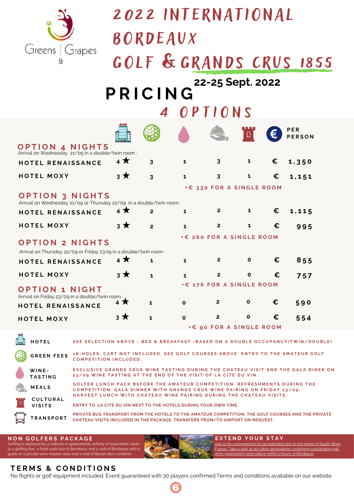

## 2022 INTERNATIONAL

B O RDEAUX

|  |  | GOLF & GRANDS CRUS 1855                                                                                                                                                                                                       |  |
|--|--|-------------------------------------------------------------------------------------------------------------------------------------------------------------------------------------------------------------------------------|--|
|  |  | the company of the company of the company of the company of the company of the company of the company of the company of the company of the company of the company of the company of the company of the company of the company |  |

## **P R I C I [N](https://docs.google.com/forms/d/15ZO-sAkYepbFcDh_hy1WWmkRVfLcjfMcPCMWm16q1NQ/prefill) G 22-25 Sept. 2022**

4 O P T I O N S

|                                                                                               |           |                         |              |                                         |              |   | PER<br><b>PERSON</b>                                                             |  |
|-----------------------------------------------------------------------------------------------|-----------|-------------------------|--------------|-----------------------------------------|--------------|---|----------------------------------------------------------------------------------|--|
| <b>O P T I O N 4 N I G H T S</b><br>Arrival on Wednesday 21/09 in a double/twin room:         |           |                         |              |                                         |              |   |                                                                                  |  |
| HOTEL RENAISSANCE                                                                             | $4*$      | 3                       | 1            | 3                                       | 1            | € | 1,350                                                                            |  |
| <b>HOTEL MOXY</b>                                                                             | $3 \star$ | $\overline{\mathbf{3}}$ | $\mathbf{1}$ | $\overline{\mathbf{3}}$                 | 1            | € | 1,151                                                                            |  |
| <b>OPTION 3 NIGHTS</b><br>Arrival on Wednesday 21/09 or Thursday 22/09 in a double/twin room: |           |                         |              | +€ 330 FOR A SINGLE ROOM                |              |   |                                                                                  |  |
| HOTEL RENAISSANCE                                                                             | $4 \star$ | $\overline{2}$          | 1            | $\overline{2}$                          | $\mathbf{1}$ | € | 1,115                                                                            |  |
| <b>HOTEL MOXY</b>                                                                             | $3 \star$ | $\overline{2}$          | $\mathbf{1}$ | $\overline{2}$                          | $\mathbf{1}$ | € | 995                                                                              |  |
| <b>OPTION 2 NIGHTS</b><br>Arrival on Thursday 22/09 or Friday 23:09 in a double/twin room:    |           |                         |              | +€ 260 FOR A SINGLE ROOM                |              |   |                                                                                  |  |
| HOTEL RENAISSANCE                                                                             | $4*$      | 1                       | 1            | $\mathbf{2}$                            | $\mathbf{o}$ | € | 855                                                                              |  |
| <b>HOTEL MOXY</b>                                                                             | $3 \star$ | $\mathbf{1}$            | 1            | $\overline{2}$                          | $\mathbf{o}$ | € | 757                                                                              |  |
| <b>OPTION 1 NIGHT</b><br>Arrival on Friday 23/09 in a double/twin room:                       |           |                         |              | +€ 176 FOR A SINGLE ROOM                |              |   |                                                                                  |  |
| HOTEL RENAISSANCE                                                                             | 4 X       | 1                       | $\mathbf{o}$ | $\mathbf{2}$                            | $\mathbf{o}$ | € | 590                                                                              |  |
| <b>HOTEL MOXY</b>                                                                             | $3 \star$ | $\mathbf{1}$            | $\mathbf{o}$ | $\mathbf{2}$<br>+€ 90 FOR A SINGLE ROOM | $\mathbf{o}$ | € | 554                                                                              |  |
| <b>HOTEL</b>                                                                                  |           |                         |              |                                         |              |   | SEE SELECTION ABOVE - BED & BREAKFAST - BASED ON A DOUBLE OCCUPANCY(TWIN/DOUBLE) |  |
| <b>GREEN FEES</b>                                                                             |           |                         |              |                                         |              |   | 18-HOLES. CART NOT INCLUDED. SEE GOLF COURSES ABOVE. ENTRY TO THE AMATEUR GOLF   |  |

EXCLUSIVE GRANDS CRUS WINE TASTING DURING THE CHATEAU VISIT AND THE GALA DINER ON 23/09. WINE TASTING AT THE END OF THE VISIT OF LA CITE DU VIN. **W I N E - T A S T I N G C O M P E T I T I O N I N C L U D E D .**

**M E A L S** GOLFER LUNCH PACK BEFORE THE AMATEUR COMPETITION. REFRESHMENTS DURING THE COMPETITION. GALA DINNER WITH GRANDS CRUS WINE PAIRING ON FRIDAY 23/09. HARVEST LUNCH WITH CHATEAU WINE PAIRING DURING THE CHATEAU VISITS. **C U L T U R A L**

**ENTRY TO LA [CITE](https://www.greensandgrapes.com/bordeaux-la-cite-du-vin/) DU VIN NEXT TO THE HOTELS DURING YOUR OWN TIME. V I S I T S**

**T R A N S P O R T PRIVATE BUS TRANSPORT FROM THE HOTELS TO THE AMATEUR COMPETITION, THE GOLF COURSES AND THE PRIVATE CHATEAU VISITS INCLUDED IN THE PACKAGE. TRANSFERS FROM/TO AIRPORT ON REQUEST.**

**E X T E N D Y O U R S T A Y**

Ask us for a programme for an extended stay in the region of South-West France. Take a look at our other [destinations](http://www.greensandgrapes.com/) combining outstanding golf,

wine, gastronomy and culture within 2-hours of Bordeaux!

#### **N O N G O L F E R S P A C K A G E**

Golfing is replaced by a cultural or gastronomic activity of equivalent value to a golfing fee : a food walk tour in Bordeaux and a visit of Bordeaux with a guide or a private wine master class and a visit of Bassin des Lumières.

#### $T$ **ER[M](https://www.greensandgrapes.com/terms-and-conditions/)S & CONDITIONS**

No flights or golf [equipment](https://www.greensandgrapes.com/terms-and-conditions/) included. Event guaranteed with 30 players confirmed.Terms and [conditions](https://www.greensandgrapes.com/terms-and-conditions/) available on our website.

6